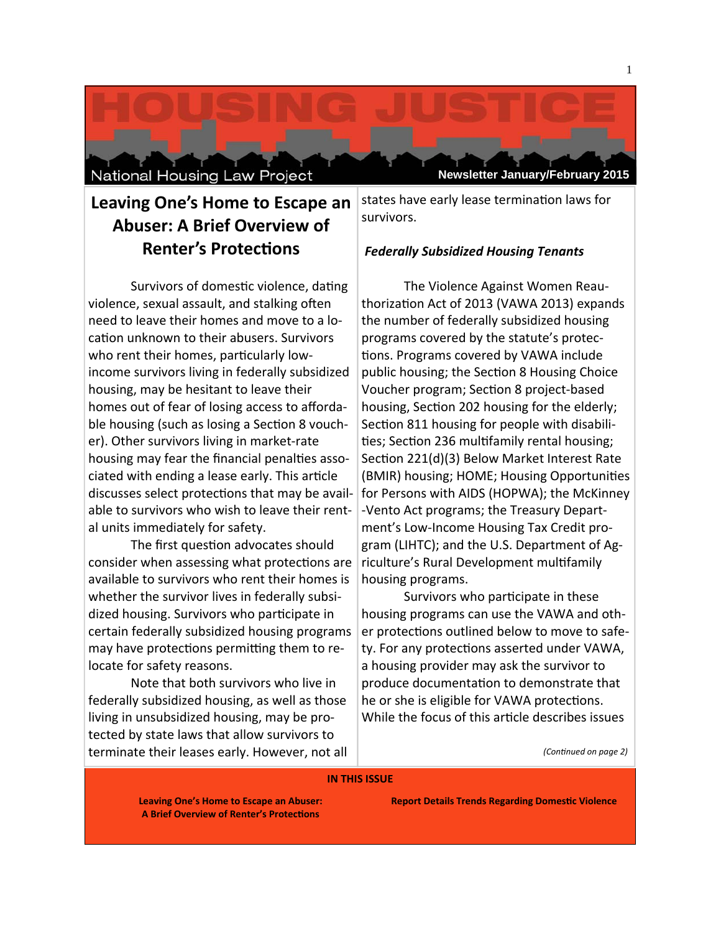National Housing Law Project

# Leaving One's Home to Escape an **Abuser: A Brief Overview of Renter's Protections**

Survivors of domestic violence, dating violence, sexual assault, and stalking often need to leave their homes and move to a location unknown to their abusers. Survivors who rent their homes, particularly lowincome survivors living in federally subsidized housing, may be hesitant to leave their homes out of fear of losing access to affordable housing (such as losing a Section 8 voucher). Other survivors living in market-rate housing may fear the financial penalties associated with ending a lease early. This article discusses select protections that may be available to survivors who wish to leave their rental units immediately for safety.

The first question advocates should consider when assessing what protections are available to survivors who rent their homes is whether the survivor lives in federally subsidized housing. Survivors who participate in certain federally subsidized housing programs may have protections permitting them to relocate for safety reasons.

Note that both survivors who live in federally subsidized housing, as well as those living in unsubsidized housing, may be protected by state laws that allow survivors to terminate their leases early. However, not all states have early lease termination laws for survivors.

**Newsletter January/February 2015** 

# **Federally Subsidized Housing Tenants**

The Violence Against Women Reauthorization Act of 2013 (VAWA 2013) expands the number of federally subsidized housing programs covered by the statute's protections. Programs covered by VAWA include public housing; the Section 8 Housing Choice Voucher program; Section 8 project-based housing, Section 202 housing for the elderly; Section 811 housing for people with disabilities; Section 236 multifamily rental housing; Section 221(d)(3) Below Market Interest Rate (BMIR) housing; HOME; Housing Opportunities for Persons with AIDS (HOPWA); the McKinney -Vento Act programs; the Treasury Department's Low-Income Housing Tax Credit program (LIHTC); and the U.S. Department of Agriculture's Rural Development multifamily housing programs.

Survivors who participate in these housing programs can use the VAWA and other protections outlined below to move to safety. For any protections asserted under VAWA, a housing provider may ask the survivor to produce documentation to demonstrate that he or she is eligible for VAWA protections. While the focus of this article describes issues

(Continued on page 2)

#### **IN THIS ISSUE**

**Leaving One's Home to Escape an Abuser: A Brief Overview of Renter's Protections** 

**Report Details Trends Regarding Domestic Violence**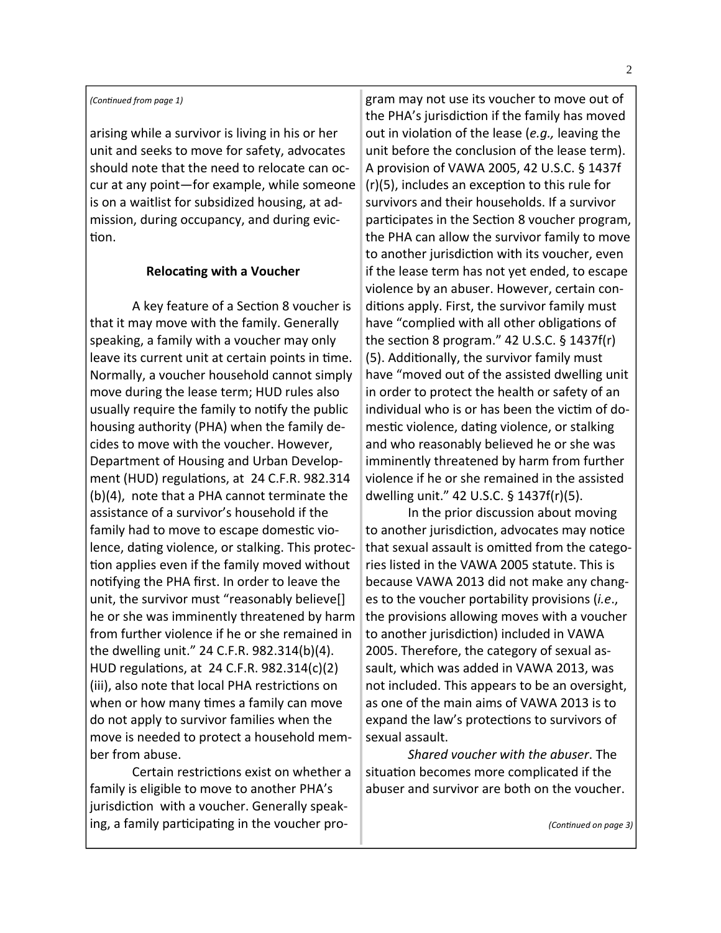#### *(ConƟnued from page 1)*

arising while a survivor is living in his or her unit and seeks to move for safety, advocates should note that the need to relocate can oc‐ cur at any point—for example, while someone is on a waitlist for subsidized housing, at ad‐ mission, during occupancy, and during evic‐ tion.

#### **RelocaƟng with a Voucher**

A key feature of a Section 8 voucher is that it may move with the family. Generally speaking, a family with a voucher may only leave its current unit at certain points in time. Normally, a voucher household cannot simply move during the lease term; HUD rules also usually require the family to notify the public housing authority (PHA) when the family de‐ cides to move with the voucher. However, Department of Housing and Urban Develop‐ ment (HUD) regulations, at 24 C.F.R. 982.314 (b)(4), note that a PHA cannot terminate the assistance of a survivor's household if the family had to move to escape domestic violence, dating violence, or stalking. This protection applies even if the family moved without notifying the PHA first. In order to leave the unit, the survivor must "reasonably believe[] he or she was imminently threatened by harm from further violence if he or she remained in the dwelling unit." 24 C.F.R. 982.314(b)(4). HUD regulations, at 24 C.F.R. 982.314(c)(2) (iii), also note that local PHA restrictions on when or how many times a family can move do not apply to survivor families when the move is needed to protect a household mem‐ ber from abuse.

Certain restrictions exist on whether a family is eligible to move to another PHA's jurisdiction with a voucher. Generally speaking, a family participating in the voucher program may not use its voucher to move out of the PHA's jurisdiction if the family has moved out in violation of the lease (e.g., leaving the unit before the conclusion of the lease term). A provision of VAWA 2005, 42 U.S.C. § 1437f  $(r)(5)$ , includes an exception to this rule for survivors and their households. If a survivor participates in the Section 8 voucher program, the PHA can allow the survivor family to move to another jurisdiction with its voucher, even if the lease term has not yet ended, to escape violence by an abuser. However, certain con‐ ditions apply. First, the survivor family must have "complied with all other obligations of the section 8 program."  $42$  U.S.C. § 1437f(r) (5). AddiƟonally, the survivor family must have "moved out of the assisted dwelling unit in order to protect the health or safety of an individual who is or has been the victim of domestic violence, dating violence, or stalking and who reasonably believed he or she was imminently threatened by harm from further violence if he or she remained in the assisted dwelling unit." 42 U.S.C. § 1437f(r)(5).

In the prior discussion about moving to another jurisdiction, advocates may notice that sexual assault is omitted from the categories listed in the VAWA 2005 statute. This is because VAWA 2013 did not make any chang‐ es to the voucher portability provisions (*i.e*., the provisions allowing moves with a voucher to another jurisdiction) included in VAWA 2005. Therefore, the category of sexual as‐ sault, which was added in VAWA 2013, was not included. This appears to be an oversight, as one of the main aims of VAWA 2013 is to expand the law's protections to survivors of sexual assault.

*Shared voucher with the abuser*. The situation becomes more complicated if the abuser and survivor are both on the voucher.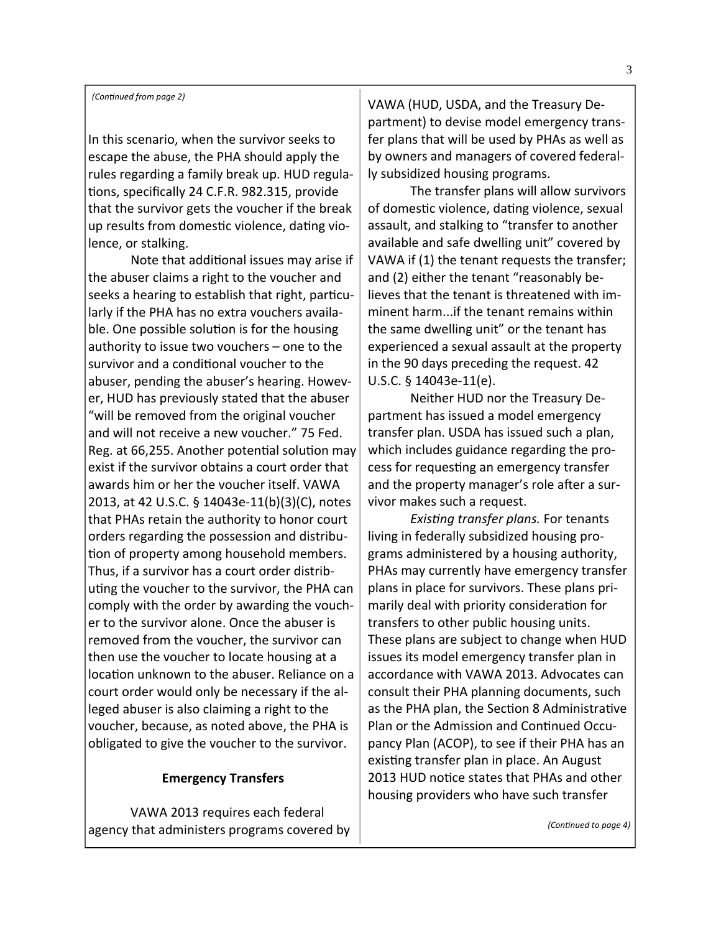In this scenario, when the survivor seeks to escape the abuse, the PHA should apply the rules regarding a family break up. HUD regula‐ tions, specifically 24 C.F.R. 982.315, provide that the survivor gets the voucher if the break up results from domestic violence, dating violence, or stalking.

Note that additional issues may arise if the abuser claims a right to the voucher and seeks a hearing to establish that right, particularly if the PHA has no extra vouchers availa‐ ble. One possible solution is for the housing authority to issue two vouchers – one to the survivor and a conditional voucher to the abuser, pending the abuser's hearing. Howev‐ er, HUD has previously stated that the abuser "will be removed from the original voucher and will not receive a new voucher." 75 Fed. Reg. at 66,255. Another potential solution may exist if the survivor obtains a court order that awards him or her the voucher itself. VAWA 2013, at 42 U.S.C. § 14043e‐11(b)(3)(C), notes that PHAs retain the authority to honor court orders regarding the possession and distribu‐ tion of property among household members. Thus, if a survivor has a court order distrib‐ uting the voucher to the survivor, the PHA can comply with the order by awarding the vouch‐ er to the survivor alone. Once the abuser is removed from the voucher, the survivor can then use the voucher to locate housing at a location unknown to the abuser. Reliance on a court order would only be necessary if the al‐ leged abuser is also claiming a right to the voucher, because, as noted above, the PHA is obligated to give the voucher to the survivor.

#### **Emergency Transfers**

VAWA 2013 requires each federal agency that administers programs covered by VAWA (HUD, USDA, and the Treasury De‐ partment) to devise model emergency trans‐ fer plans that will be used by PHAs as well as by owners and managers of covered federal‐ ly subsidized housing programs.

The transfer plans will allow survivors of domestic violence, dating violence, sexual assault, and stalking to "transfer to another available and safe dwelling unit" covered by VAWA if (1) the tenant requests the transfer; and (2) either the tenant "reasonably be‐ lieves that the tenant is threatened with im‐ minent harm...if the tenant remains within the same dwelling unit" or the tenant has experienced a sexual assault at the property in the 90 days preceding the request. 42 U.S.C. § 14043e‐11(e).

Neither HUD nor the Treasury De‐ partment has issued a model emergency transfer plan. USDA has issued such a plan, which includes guidance regarding the process for requesting an emergency transfer and the property manager's role after a survivor makes such a request.

*ExisƟng transfer plans.* For tenants living in federally subsidized housing pro‐ grams administered by a housing authority, PHAs may currently have emergency transfer plans in place for survivors. These plans pri‐ marily deal with priority consideration for transfers to other public housing units. These plans are subject to change when HUD issues its model emergency transfer plan in accordance with VAWA 2013. Advocates can consult their PHA planning documents, such as the PHA plan, the Section 8 Administrative Plan or the Admission and Continued Occupancy Plan (ACOP), to see if their PHA has an existing transfer plan in place. An August 2013 HUD notice states that PHAs and other housing providers who have such transfer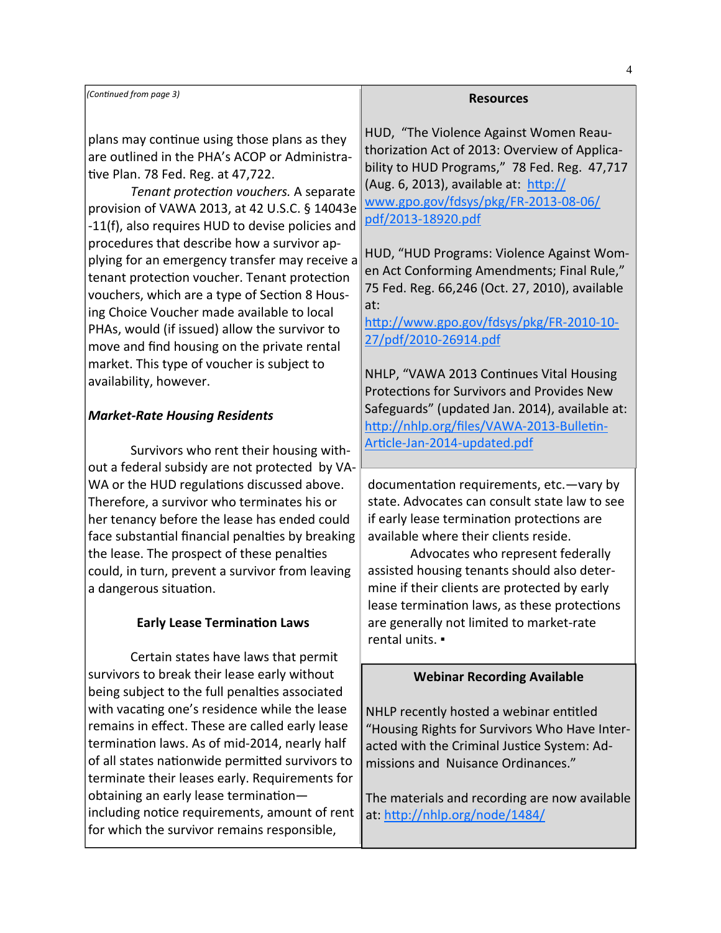*(ConƟnued from page 3)* **Resources** 

plans may continue using those plans as they are outlined in the PHA's ACOP or Administra‐ tive Plan. 78 Fed. Reg. at 47,722.

*Tenant protecƟon vouchers.* A separate provision of VAWA 2013, at 42 U.S.C. § 14043e ‐11(f), also requires HUD to devise policies and procedures that describe how a survivor ap‐ plying for an emergency transfer may receive a tenant protection voucher. Tenant protection vouchers, which are a type of Section 8 Housing Choice Voucher made available to local PHAs, would (if issued) allow the survivor to move and find housing on the private rental market. This type of voucher is subject to availability, however.

# *Market‐Rate Housing Residents*

Survivors who rent their housing with‐ out a federal subsidy are not protected by VA‐ WA or the HUD regulations discussed above. Therefore, a survivor who terminates his or her tenancy before the lease has ended could face substantial financial penalties by breaking the lease. The prospect of these penalties could, in turn, prevent a survivor from leaving a dangerous situation.

# **Early Lease Termination Laws**

Certain states have laws that permit survivors to break their lease early without being subject to the full penalties associated with vacating one's residence while the lease remains in effect. These are called early lease termination laws. As of mid-2014, nearly half of all states nationwide permitted survivors to terminate their leases early. Requirements for obtaining an early lease terminationincluding notice requirements, amount of rent for which the survivor remains responsible,

HUD, "The Violence Against Women Reau‐ thorization Act of 2013: Overview of Applicability to HUD Programs," 78 Fed. Reg. 47,717 (Aug. 6, 2013), available at:  $h$ ttp:// www.gpo.gov/fdsys/pkg/FR‐2013‐08‐06/ pdf/2013‐18920.pdf

HUD, "HUD Programs: Violence Against Wom‐ en Act Conforming Amendments; Final Rule," 75 Fed. Reg. 66,246 (Oct. 27, 2010), available at:

http://www.gpo.gov/fdsys/pkg/FR-2010-10-27/pdf/2010‐26914.pdf

NHLP, "VAWA 2013 Continues Vital Housing Protections for Survivors and Provides New Safeguards" (updated Jan. 2014), available at: http://nhlp.org/files/VAWA-2013-Bulletin-Article-Jan-2014-updated.pdf

documentation requirements, etc.—vary by state. Advocates can consult state law to see if early lease termination protections are available where their clients reside.

Advocates who represent federally assisted housing tenants should also deter‐ mine if their clients are protected by early lease termination laws, as these protections are generally not limited to market‐rate rental units. ▪

# **Webinar Recording Available**

NHLP recently hosted a webinar entitled "Housing Rights for Survivors Who Have Inter‐ acted with the Criminal Justice System: Admissions and Nuisance Ordinances."

The materials and recording are now available at: http://nhlp.org/node/1484/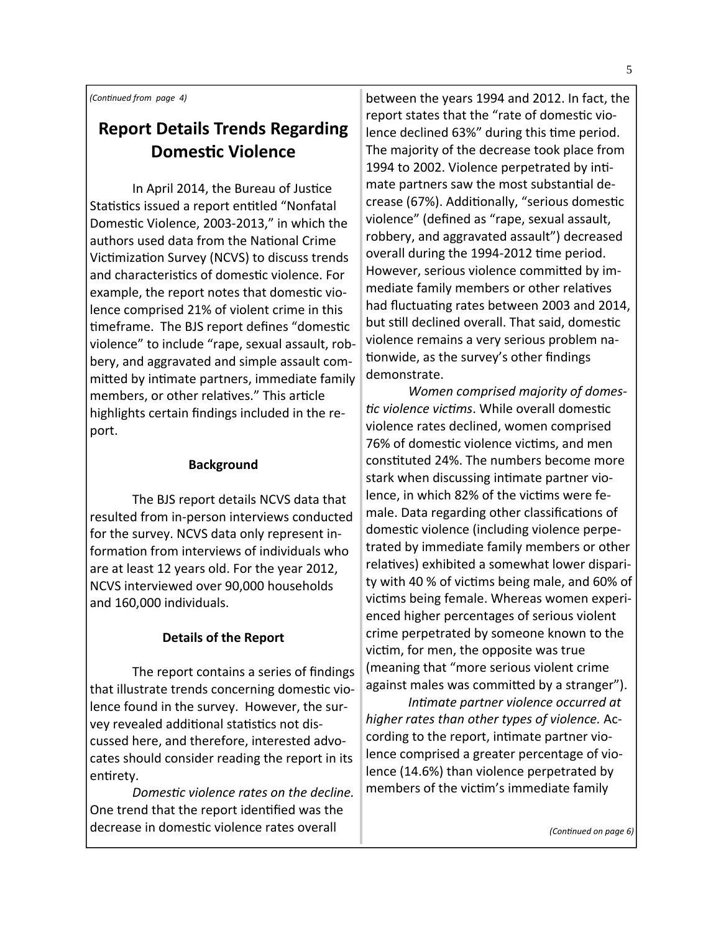*(ConƟnued from page 4)*

# **Report Details Trends Regarding DomesƟc Violence**

In April 2014, the Bureau of Justice Statistics issued a report entitled "Nonfatal Domestic Violence, 2003-2013," in which the authors used data from the National Crime Victimization Survey (NCVS) to discuss trends and characteristics of domestic violence. For example, the report notes that domestic violence comprised 21% of violent crime in this timeframe. The BJS report defines "domestic violence" to include "rape, sexual assault, rob‐ bery, and aggravated and simple assault com‐ mitted by intimate partners, immediate family members, or other relatives." This article highlights certain findings included in the re‐ port.

# **Background**

The BJS report details NCVS data that resulted from in‐person interviews conducted for the survey. NCVS data only represent in‐ formation from interviews of individuals who are at least 12 years old. For the year 2012, NCVS interviewed over 90,000 households and 160,000 individuals.

# **Details of the Report**

The report contains a series of findings that illustrate trends concerning domestic violence found in the survey. However, the sur‐ vey revealed additional statistics not discussed here, and therefore, interested advo‐ cates should consider reading the report in its entirety.

*DomesƟc violence rates on the decline.* One trend that the report identified was the decrease in domestic violence rates overall

between the years 1994 and 2012. In fact, the report states that the "rate of domestic violence declined 63%" during this time period. The majority of the decrease took place from 1994 to 2002. Violence perpetrated by intimate partners saw the most substantial decrease (67%). Additionally, "serious domestic violence" (defined as "rape, sexual assault, robbery, and aggravated assault") decreased overall during the 1994-2012 time period. However, serious violence committed by immediate family members or other relatives had fluctuating rates between 2003 and 2014, but still declined overall. That said, domestic violence remains a very serious problem na‐ tionwide, as the survey's other findings demonstrate.

*Women comprised majority of domes‐ Ɵc violence vicƟms*. While overall domesƟc violence rates declined, women comprised 76% of domestic violence victims, and men constituted 24%. The numbers become more stark when discussing intimate partner violence, in which 82% of the victims were female. Data regarding other classifications of domestic violence (including violence perpetrated by immediate family members or other relatives) exhibited a somewhat lower disparity with 40 % of victims being male, and 60% of victims being female. Whereas women experienced higher percentages of serious violent crime perpetrated by someone known to the victim, for men, the opposite was true (meaning that "more serious violent crime against males was committed by a stranger").

*InƟmate partner violence occurred at higher rates than other types of violence.* Ac‐ cording to the report, intimate partner violence comprised a greater percentage of vio‐ lence (14.6%) than violence perpetrated by members of the victim's immediate family

*(ConƟnued on page 6)*